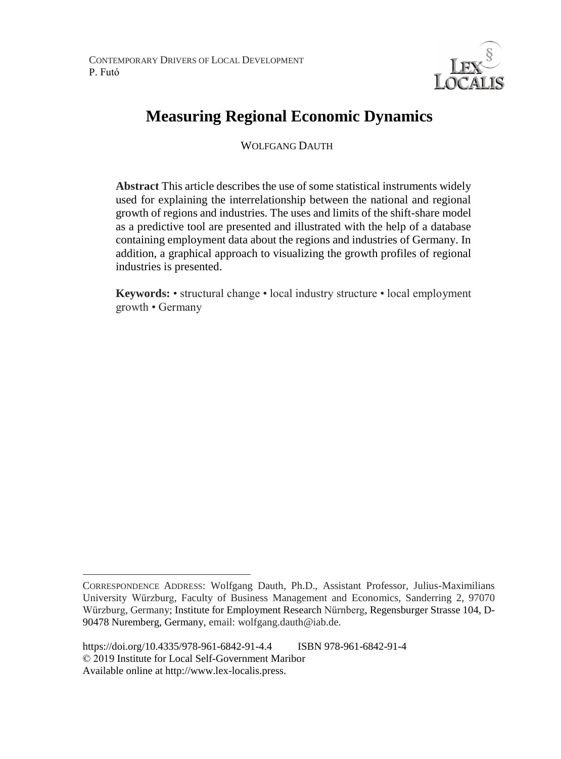

# **Measuring Regional Economic Dynamics**

WOLFGANG DAUTH

**Abstract** This article describes the use of some statistical instruments widely used for explaining the interrelationship between the national and regional growth of regions and industries. The uses and limits of the shift-share model as a predictive tool are presented and illustrated with the help of a database containing employment data about the regions and industries of Germany. In addition, a graphical approach to visualizing the growth profiles of regional industries is presented.

**Keywords:** • structural change • local industry structure • local employment growth • Germany

 $\overline{a}$ 

CORRESPONDENCE ADDRESS: Wolfgang Dauth, Ph.D., Assistant Professor, Julius-Maximilians University Würzburg, Faculty of Business Management and Economics, Sanderring 2, 97070 Würzburg, Germany; Institute for Employment Research Nürnberg, Regensburger Strasse 104, D-90478 Nuremberg, Germany, email: wolfgang.dauth@iab.de.

https://doi.org/10.4335/978-961-6842-91-4.4 ISBN 978-961-6842-91-4 © 2019 Institute for Local Self-Government Maribor Available online at http://www.lex-localis.press.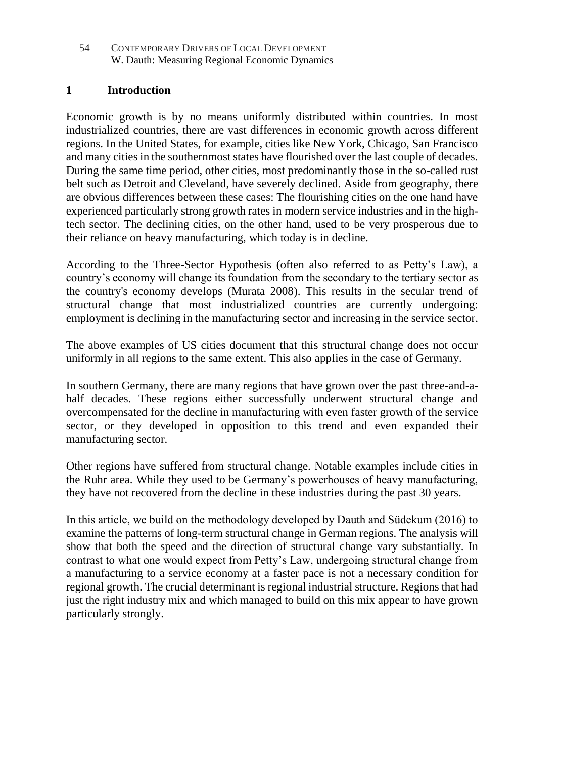54 CONTEMPORARY DRIVERS OF LOCAL DEVELOPMENT W. Dauth: Measuring Regional Economic Dynamics

# **1 Introduction**

Economic growth is by no means uniformly distributed within countries. In most industrialized countries, there are vast differences in economic growth across different regions. In the United States, for example, cities like New York, Chicago, San Francisco and many cities in the southernmost states have flourished over the last couple of decades. During the same time period, other cities, most predominantly those in the so-called rust belt such as Detroit and Cleveland, have severely declined. Aside from geography, there are obvious differences between these cases: The flourishing cities on the one hand have experienced particularly strong growth rates in modern service industries and in the hightech sector. The declining cities, on the other hand, used to be very prosperous due to their reliance on heavy manufacturing, which today is in decline.

According to the Three-Sector Hypothesis (often also referred to as Petty's Law), a country's economy will change its foundation from the secondary to the tertiary sector as the country's economy develops (Murata 2008). This results in the secular trend of structural change that most industrialized countries are currently undergoing: employment is declining in the manufacturing sector and increasing in the service sector.

The above examples of US cities document that this structural change does not occur uniformly in all regions to the same extent. This also applies in the case of Germany.

In southern Germany, there are many regions that have grown over the past three-and-ahalf decades. These regions either successfully underwent structural change and overcompensated for the decline in manufacturing with even faster growth of the service sector, or they developed in opposition to this trend and even expanded their manufacturing sector.

Other regions have suffered from structural change. Notable examples include cities in the Ruhr area. While they used to be Germany's powerhouses of heavy manufacturing, they have not recovered from the decline in these industries during the past 30 years.

In this article, we build on the methodology developed by Dauth and Südekum (2016) to examine the patterns of long-term structural change in German regions. The analysis will show that both the speed and the direction of structural change vary substantially. In contrast to what one would expect from Petty's Law, undergoing structural change from a manufacturing to a service economy at a faster pace is not a necessary condition for regional growth. The crucial determinant is regional industrial structure. Regions that had just the right industry mix and which managed to build on this mix appear to have grown particularly strongly.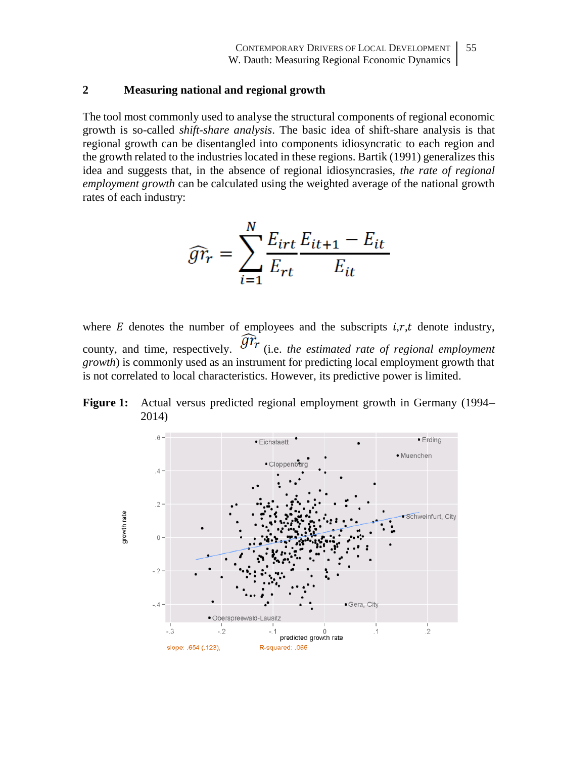#### **2 Measuring national and regional growth**

The tool most commonly used to analyse the structural components of regional economic growth is so-called *shift-share analysis*. The basic idea of shift-share analysis is that regional growth can be disentangled into components idiosyncratic to each region and the growth related to the industries located in these regions. Bartik (1991) generalizes this idea and suggests that, in the absence of regional idiosyncrasies, *the rate of regional employment growth* can be calculated using the weighted average of the national growth rates of each industry:

$$
\widehat{gr}_r = \sum_{i=1}^{N} \frac{E_{irt}}{E_{rt}} \frac{E_{it+1} - E_{it}}{E_{it}}
$$

where  $E$  denotes the number of employees and the subscripts  $i, r, t$  denote industry, county, and time, respectively.  $\widehat{\mathcal{G}^{T}}$  (i.e. *the estimated rate of regional employment growth*) is commonly used as an instrument for predicting local employment growth that is not correlated to local characteristics. However, its predictive power is limited.

**Figure 1:** Actual versus predicted regional employment growth in Germany (1994– 2014)

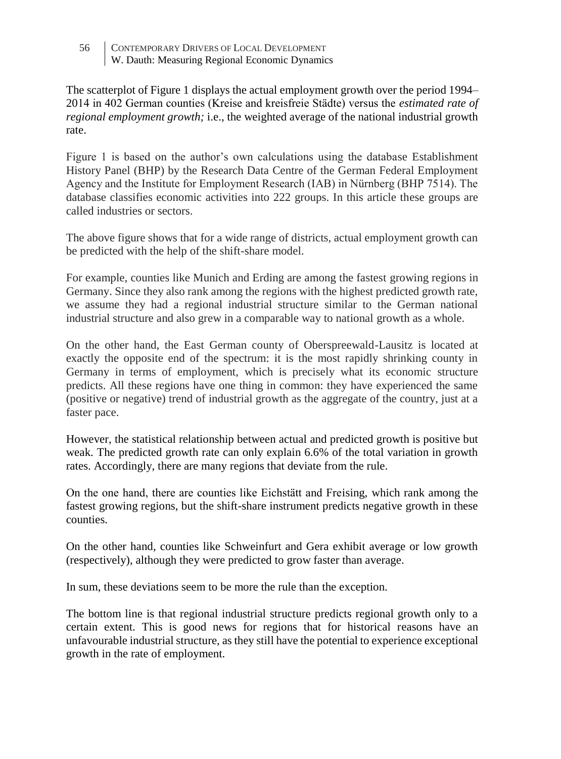56 CONTEMPORARY DRIVERS OF LOCAL DEVELOPMENT W. Dauth: Measuring Regional Economic Dynamics

The scatterplot of Figure 1 displays the actual employment growth over the period 1994– 2014 in 402 German counties (Kreise and kreisfreie Städte) versus the *estimated rate of regional employment growth;* i.e., the weighted average of the national industrial growth rate.

Figure 1 is based on the author's own calculations using the database Establishment History Panel (BHP) by the Research Data Centre of the German Federal Employment Agency and the Institute for Employment Research (IAB) in Nürnberg (BHP 7514). The database classifies economic activities into 222 groups. In this article these groups are called industries or sectors.

The above figure shows that for a wide range of districts, actual employment growth can be predicted with the help of the shift-share model.

For example, counties like Munich and Erding are among the fastest growing regions in Germany. Since they also rank among the regions with the highest predicted growth rate, we assume they had a regional industrial structure similar to the German national industrial structure and also grew in a comparable way to national growth as a whole.

On the other hand, the East German county of Oberspreewald-Lausitz is located at exactly the opposite end of the spectrum: it is the most rapidly shrinking county in Germany in terms of employment, which is precisely what its economic structure predicts. All these regions have one thing in common: they have experienced the same (positive or negative) trend of industrial growth as the aggregate of the country, just at a faster pace.

However, the statistical relationship between actual and predicted growth is positive but weak. The predicted growth rate can only explain 6.6% of the total variation in growth rates. Accordingly, there are many regions that deviate from the rule.

On the one hand, there are counties like Eichstätt and Freising, which rank among the fastest growing regions, but the shift-share instrument predicts negative growth in these counties.

On the other hand, counties like Schweinfurt and Gera exhibit average or low growth (respectively), although they were predicted to grow faster than average.

In sum, these deviations seem to be more the rule than the exception.

The bottom line is that regional industrial structure predicts regional growth only to a certain extent. This is good news for regions that for historical reasons have an unfavourable industrial structure, as they still have the potential to experience exceptional growth in the rate of employment.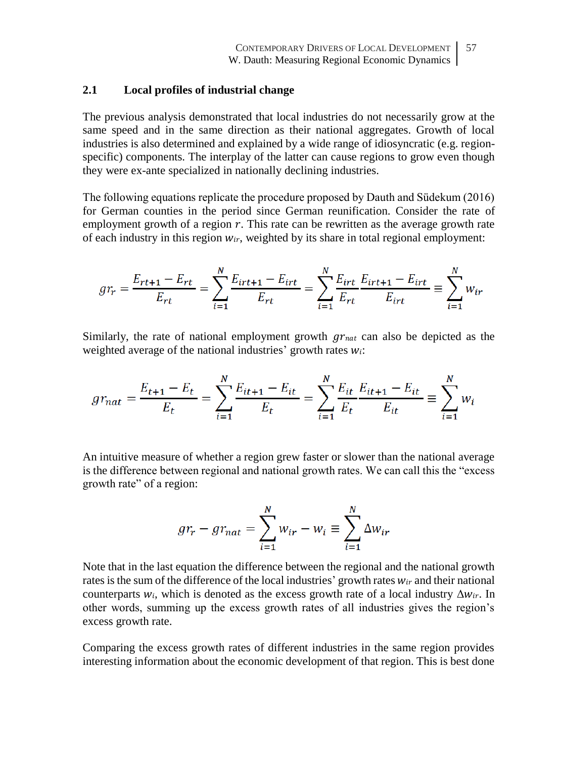# **2.1 Local profiles of industrial change**

The previous analysis demonstrated that local industries do not necessarily grow at the same speed and in the same direction as their national aggregates. Growth of local industries is also determined and explained by a wide range of idiosyncratic (e.g. regionspecific) components. The interplay of the latter can cause regions to grow even though they were ex-ante specialized in nationally declining industries.

The following equations replicate the procedure proposed by Dauth and Südekum (2016) for German counties in the period since German reunification. Consider the rate of employment growth of a region  $r$ . This rate can be rewritten as the average growth rate of each industry in this region  $w_{ir}$ , weighted by its share in total regional employment:

$$
gr_r = \frac{E_{rt+1} - E_{rt}}{E_{rt}} = \sum_{i=1}^{N} \frac{E_{irt+1} - E_{irt}}{E_{rt}} = \sum_{i=1}^{N} \frac{E_{irt}}{E_{rt}} \frac{E_{irt+1} - E_{irt}}{E_{irt}} \equiv \sum_{i=1}^{N} w_{ir}
$$

Similarly, the rate of national employment growth  $gr_{nat}$  can also be depicted as the weighted average of the national industries' growth rates  $w_i$ :

$$
gr_{nat} = \frac{E_{t+1} - E_t}{E_t} = \sum_{i=1}^{N} \frac{E_{it+1} - E_{it}}{E_t} = \sum_{i=1}^{N} \frac{E_{it}}{E_t} \frac{E_{it+1} - E_{it}}{E_{it}} \equiv \sum_{i=1}^{N} w_i
$$

An intuitive measure of whether a region grew faster or slower than the national average is the difference between regional and national growth rates. We can call this the "excess growth rate" of a region:

$$
gr_r - gr_{nat} = \sum_{i=1}^{N} w_{ir} - w_i \equiv \sum_{i=1}^{N} \Delta w_{ir}
$$

Note that in the last equation the difference between the regional and the national growth rates is the sum of the difference of the local industries' growth rates  $w_{ir}$  and their national counterparts  $w_i$ , which is denoted as the excess growth rate of a local industry  $\Delta w_{ir}$ . In other words, summing up the excess growth rates of all industries gives the region's excess growth rate.

Comparing the excess growth rates of different industries in the same region provides interesting information about the economic development of that region. This is best done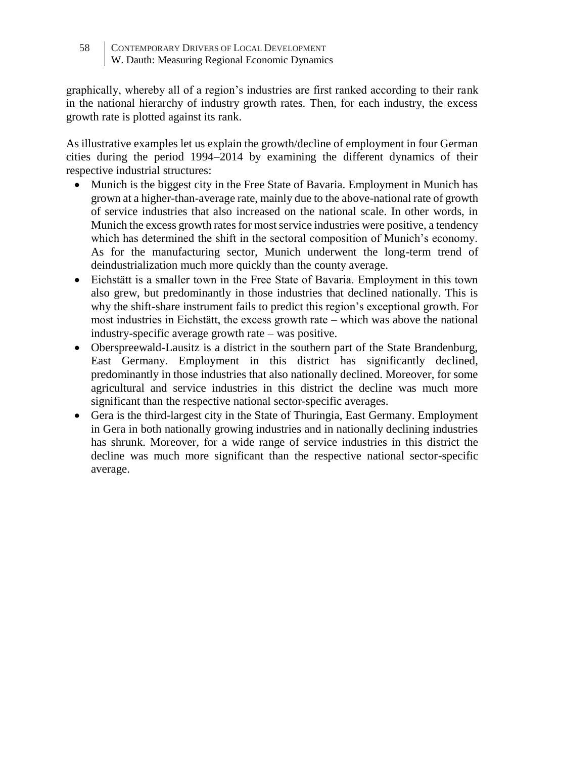58 CONTEMPORARY DRIVERS OF LOCAL DEVELOPMENT W. Dauth: Measuring Regional Economic Dynamics

graphically, whereby all of a region's industries are first ranked according to their rank in the national hierarchy of industry growth rates. Then, for each industry, the excess growth rate is plotted against its rank.

As illustrative examples let us explain the growth/decline of employment in four German cities during the period 1994–2014 by examining the different dynamics of their respective industrial structures:

- Munich is the biggest city in the Free State of Bavaria. Employment in Munich has grown at a higher-than-average rate, mainly due to the above-national rate of growth of service industries that also increased on the national scale. In other words, in Munich the excess growth rates for most service industries were positive, a tendency which has determined the shift in the sectoral composition of Munich's economy. As for the manufacturing sector, Munich underwent the long-term trend of deindustrialization much more quickly than the county average.
- Eichstätt is a smaller town in the Free State of Bavaria. Employment in this town also grew, but predominantly in those industries that declined nationally. This is why the shift-share instrument fails to predict this region's exceptional growth. For most industries in Eichstätt, the excess growth rate – which was above the national industry-specific average growth rate – was positive.
- Oberspreewald-Lausitz is a district in the southern part of the State Brandenburg, East Germany. Employment in this district has significantly declined, predominantly in those industries that also nationally declined. Moreover, for some agricultural and service industries in this district the decline was much more significant than the respective national sector-specific averages.
- Gera is the third-largest city in the State of Thuringia, East Germany. Employment in Gera in both nationally growing industries and in nationally declining industries has shrunk. Moreover, for a wide range of service industries in this district the decline was much more significant than the respective national sector-specific average.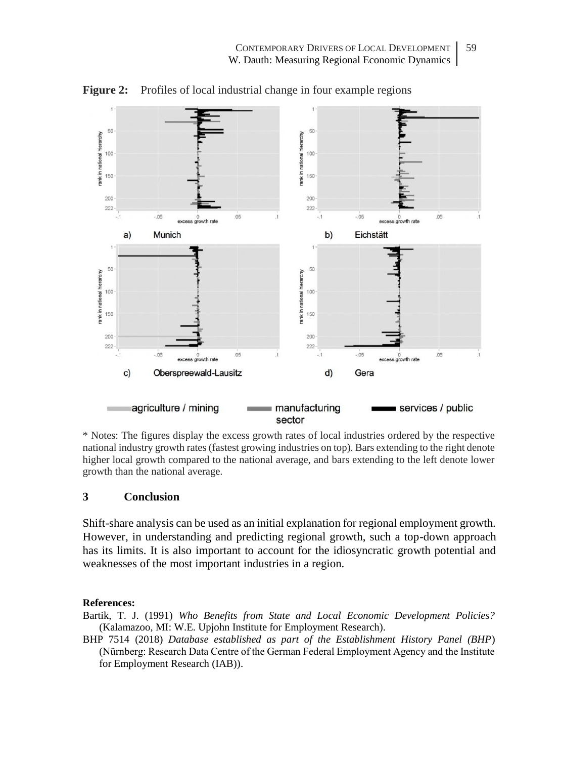

Figure 2: Profiles of local industrial change in four example regions

\* Notes: The figures display the excess growth rates of local industries ordered by the respective national industry growth rates (fastest growing industries on top). Bars extending to the right denote higher local growth compared to the national average, and bars extending to the left denote lower growth than the national average.

### **3 Conclusion**

Shift-share analysis can be used as an initial explanation for regional employment growth. However, in understanding and predicting regional growth, such a top-down approach has its limits. It is also important to account for the idiosyncratic growth potential and weaknesses of the most important industries in a region.

#### **References:**

Bartik, T. J. (1991) *Who Benefits from State and Local Economic Development Policies?* (Kalamazoo, MI: W.E. Upjohn Institute for Employment Research).

BHP 7514 (2018) *Database established as part of the Establishment History Panel (BHP*) (Nürnberg: Research Data Centre of the German Federal Employment Agency and the Institute for Employment Research (IAB)).